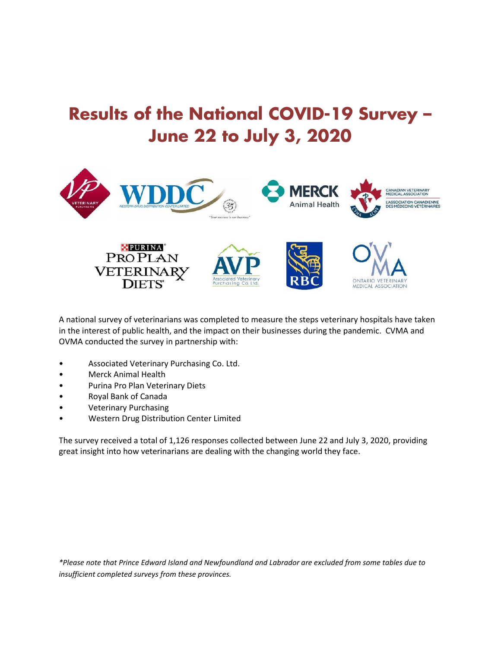# **Results of the National COVID-19 Survey – June 22 to July 3, 2020**



A national survey of veterinarians was completed to measure the steps veterinary hospitals have taken in the interest of public health, and the impact on their businesses during the pandemic. CVMA and OVMA conducted the survey in partnership with:

- Associated Veterinary Purchasing Co. Ltd.
- Merck Animal Health
- Purina Pro Plan Veterinary Diets
- Royal Bank of Canada
- Veterinary Purchasing
- Western Drug Distribution Center Limited

The survey received a total of 1,126 responses collected between June 22 and July 3, 2020, providing great insight into how veterinarians are dealing with the changing world they face.

*\*Please note that Prince Edward Island and Newfoundland and Labrador are excluded from some tables due to insufficient completed surveys from these provinces.*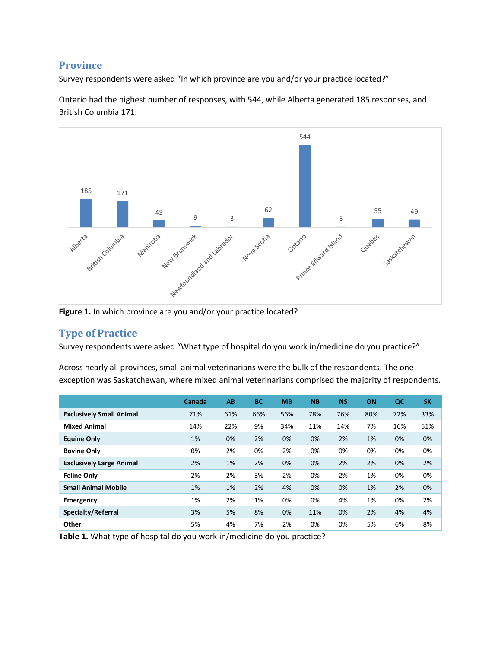#### **Province**

Survey respondents were asked "In which province are you and/or your practice located?"

Ontario had the highest number of responses, with 544, while Alberta generated 185 responses, and British Columbia 171.



**Figure 1.** In which province are you and/or your practice located?

## **Type of Practice**

Survey respondents were asked "What type of hospital do you work in/medicine do you practice?"

Across nearly all provinces, small animal veterinarians were the bulk of the respondents. The one exception was Saskatchewan, where mixed animal veterinarians comprised the majority of respondents.

|                                 | Canada | AB  | <b>BC</b> | <b>MB</b> | <b>NB</b> | <b>NS</b> | ON  | QC  | <b>SK</b> |
|---------------------------------|--------|-----|-----------|-----------|-----------|-----------|-----|-----|-----------|
| <b>Exclusively Small Animal</b> | 71%    | 61% | 66%       | 56%       | 78%       | 76%       | 80% | 72% | 33%       |
| <b>Mixed Animal</b>             | 14%    | 22% | 9%        | 34%       | 11%       | 14%       | 7%  | 16% | 51%       |
| <b>Equine Only</b>              | 1%     | 0%  | 2%        | 0%        | 0%        | 2%        | 1%  | 0%  | 0%        |
| <b>Bovine Only</b>              | 0%     | 2%  | 0%        | 2%        | 0%        | 0%        | 0%  | 0%  | 0%        |
| <b>Exclusively Large Animal</b> | 2%     | 1%  | 2%        | 0%        | 0%        | 2%        | 2%  | 0%  | 2%        |
| <b>Feline Only</b>              | 2%     | 2%  | 3%        | 2%        | 0%        | 2%        | 1%  | 0%  | 0%        |
| <b>Small Animal Mobile</b>      | 1%     | 1%  | 2%        | 4%        | 0%        | 0%        | 1%  | 2%  | 0%        |
| Emergency                       | 1%     | 2%  | 1%        | 0%        | 0%        | 4%        | 1%  | 0%  | 2%        |
| Specialty/Referral              | 3%     | 5%  | 8%        | 0%        | 11%       | 0%        | 2%  | 4%  | 4%        |
| Other                           | 5%     | 4%  | 7%        | 2%        | 0%        | 0%        | 5%  | 6%  | 8%        |

**Table 1.** What type of hospital do you work in/medicine do you practice?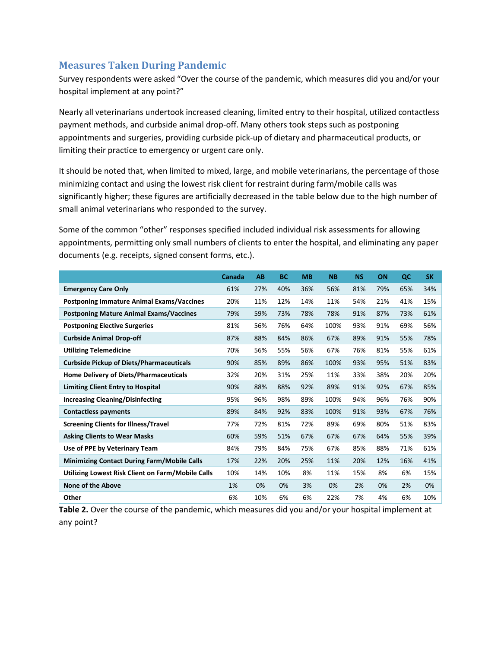#### **Measures Taken During Pandemic**

Survey respondents were asked "Over the course of the pandemic, which measures did you and/or your hospital implement at any point?"

Nearly all veterinarians undertook increased cleaning, limited entry to their hospital, utilized contactless payment methods, and curbside animal drop-off. Many others took steps such as postponing appointments and surgeries, providing curbside pick-up of dietary and pharmaceutical products, or limiting their practice to emergency or urgent care only.

It should be noted that, when limited to mixed, large, and mobile veterinarians, the percentage of those minimizing contact and using the lowest risk client for restraint during farm/mobile calls was significantly higher; these figures are artificially decreased in the table below due to the high number of small animal veterinarians who responded to the survey.

Some of the common "other" responses specified included individual risk assessments for allowing appointments, permitting only small numbers of clients to enter the hospital, and eliminating any paper documents (e.g. receipts, signed consent forms, etc.).

|                                                    | Canada | AB  | <b>BC</b> | <b>MB</b> | <b>NB</b> | <b>NS</b> | <b>ON</b> | QC  | <b>SK</b> |
|----------------------------------------------------|--------|-----|-----------|-----------|-----------|-----------|-----------|-----|-----------|
| <b>Emergency Care Only</b>                         | 61%    | 27% | 40%       | 36%       | 56%       | 81%       | 79%       | 65% | 34%       |
| <b>Postponing Immature Animal Exams/Vaccines</b>   | 20%    | 11% | 12%       | 14%       | 11%       | 54%       | 21%       | 41% | 15%       |
| <b>Postponing Mature Animal Exams/Vaccines</b>     | 79%    | 59% | 73%       | 78%       | 78%       | 91%       | 87%       | 73% | 61%       |
| <b>Postponing Elective Surgeries</b>               | 81%    | 56% | 76%       | 64%       | 100%      | 93%       | 91%       | 69% | 56%       |
| <b>Curbside Animal Drop-off</b>                    | 87%    | 88% | 84%       | 86%       | 67%       | 89%       | 91%       | 55% | 78%       |
| <b>Utilizing Telemedicine</b>                      | 70%    | 56% | 55%       | 56%       | 67%       | 76%       | 81%       | 55% | 61%       |
| <b>Curbside Pickup of Diets/Pharmaceuticals</b>    | 90%    | 85% | 89%       | 86%       | 100%      | 93%       | 95%       | 51% | 83%       |
| <b>Home Delivery of Diets/Pharmaceuticals</b>      | 32%    | 20% | 31%       | 25%       | 11%       | 33%       | 38%       | 20% | 20%       |
| <b>Limiting Client Entry to Hospital</b>           | 90%    | 88% | 88%       | 92%       | 89%       | 91%       | 92%       | 67% | 85%       |
| <b>Increasing Cleaning/Disinfecting</b>            | 95%    | 96% | 98%       | 89%       | 100%      | 94%       | 96%       | 76% | 90%       |
| <b>Contactless payments</b>                        | 89%    | 84% | 92%       | 83%       | 100%      | 91%       | 93%       | 67% | 76%       |
| <b>Screening Clients for Illness/Travel</b>        | 77%    | 72% | 81%       | 72%       | 89%       | 69%       | 80%       | 51% | 83%       |
| <b>Asking Clients to Wear Masks</b>                | 60%    | 59% | 51%       | 67%       | 67%       | 67%       | 64%       | 55% | 39%       |
| Use of PPE by Veterinary Team                      | 84%    | 79% | 84%       | 75%       | 67%       | 85%       | 88%       | 71% | 61%       |
| <b>Minimizing Contact During Farm/Mobile Calls</b> | 17%    | 22% | 20%       | 25%       | 11%       | 20%       | 12%       | 16% | 41%       |
| Utilizing Lowest Risk Client on Farm/Mobile Calls  | 10%    | 14% | 10%       | 8%        | 11%       | 15%       | 8%        | 6%  | 15%       |
| <b>None of the Above</b>                           | 1%     | 0%  | 0%        | 3%        | 0%        | 2%        | 0%        | 2%  | 0%        |
| Other                                              | 6%     | 10% | 6%        | 6%        | 22%       | 7%        | 4%        | 6%  | 10%       |

**Table 2.** Over the course of the pandemic, which measures did you and/or your hospital implement at any point?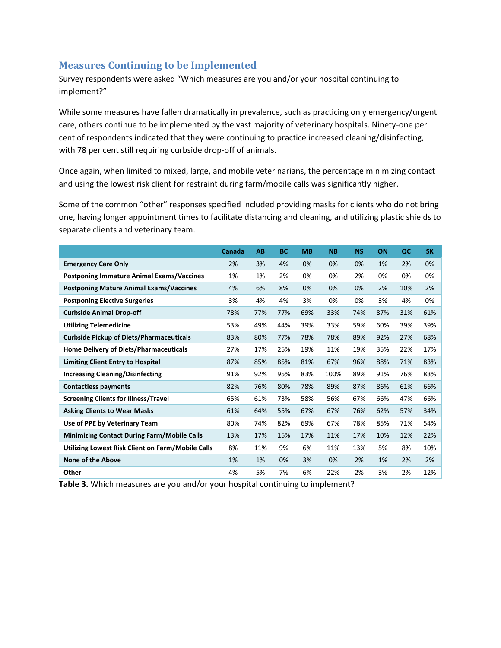#### **Measures Continuing to be Implemented**

Survey respondents were asked "Which measures are you and/or your hospital continuing to implement?"

While some measures have fallen dramatically in prevalence, such as practicing only emergency/urgent care, others continue to be implemented by the vast majority of veterinary hospitals. Ninety-one per cent of respondents indicated that they were continuing to practice increased cleaning/disinfecting, with 78 per cent still requiring curbside drop-off of animals.

Once again, when limited to mixed, large, and mobile veterinarians, the percentage minimizing contact and using the lowest risk client for restraint during farm/mobile calls was significantly higher.

Some of the common "other" responses specified included providing masks for clients who do not bring one, having longer appointment times to facilitate distancing and cleaning, and utilizing plastic shields to separate clients and veterinary team.

|                                                    | Canada | AB  | <b>BC</b> | <b>MB</b> | <b>NB</b> | <b>NS</b> | ON  | QC  | <b>SK</b> |
|----------------------------------------------------|--------|-----|-----------|-----------|-----------|-----------|-----|-----|-----------|
| <b>Emergency Care Only</b>                         | 2%     | 3%  | 4%        | 0%        | 0%        | 0%        | 1%  | 2%  | 0%        |
| <b>Postponing Immature Animal Exams/Vaccines</b>   | 1%     | 1%  | 2%        | 0%        | 0%        | 2%        | 0%  | 0%  | 0%        |
| <b>Postponing Mature Animal Exams/Vaccines</b>     | 4%     | 6%  | 8%        | 0%        | 0%        | 0%        | 2%  | 10% | 2%        |
| <b>Postponing Elective Surgeries</b>               | 3%     | 4%  | 4%        | 3%        | 0%        | 0%        | 3%  | 4%  | 0%        |
| <b>Curbside Animal Drop-off</b>                    | 78%    | 77% | 77%       | 69%       | 33%       | 74%       | 87% | 31% | 61%       |
| <b>Utilizing Telemedicine</b>                      | 53%    | 49% | 44%       | 39%       | 33%       | 59%       | 60% | 39% | 39%       |
| <b>Curbside Pickup of Diets/Pharmaceuticals</b>    | 83%    | 80% | 77%       | 78%       | 78%       | 89%       | 92% | 27% | 68%       |
| <b>Home Delivery of Diets/Pharmaceuticals</b>      | 27%    | 17% | 25%       | 19%       | 11%       | 19%       | 35% | 22% | 17%       |
| <b>Limiting Client Entry to Hospital</b>           | 87%    | 85% | 85%       | 81%       | 67%       | 96%       | 88% | 71% | 83%       |
| <b>Increasing Cleaning/Disinfecting</b>            | 91%    | 92% | 95%       | 83%       | 100%      | 89%       | 91% | 76% | 83%       |
| <b>Contactless payments</b>                        | 82%    | 76% | 80%       | 78%       | 89%       | 87%       | 86% | 61% | 66%       |
| <b>Screening Clients for Illness/Travel</b>        | 65%    | 61% | 73%       | 58%       | 56%       | 67%       | 66% | 47% | 66%       |
| <b>Asking Clients to Wear Masks</b>                | 61%    | 64% | 55%       | 67%       | 67%       | 76%       | 62% | 57% | 34%       |
| Use of PPE by Veterinary Team                      | 80%    | 74% | 82%       | 69%       | 67%       | 78%       | 85% | 71% | 54%       |
| <b>Minimizing Contact During Farm/Mobile Calls</b> | 13%    | 17% | 15%       | 17%       | 11%       | 17%       | 10% | 12% | 22%       |
| Utilizing Lowest Risk Client on Farm/Mobile Calls  | 8%     | 11% | 9%        | 6%        | 11%       | 13%       | 5%  | 8%  | 10%       |
| <b>None of the Above</b>                           | 1%     | 1%  | 0%        | 3%        | 0%        | 2%        | 1%  | 2%  | 2%        |
| Other                                              | 4%     | 5%  | 7%        | 6%        | 22%       | 2%        | 3%  | 2%  | 12%       |

**Table 3.** Which measures are you and/or your hospital continuing to implement?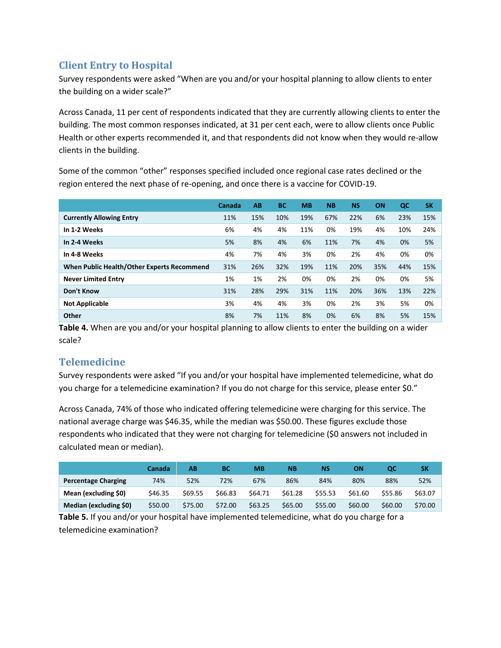# **Client Entry to Hospital**

Survey respondents were asked "When are you and/or your hospital planning to allow clients to enter the building on a wider scale?"

Across Canada, 11 per cent of respondents indicated that they are currently allowing clients to enter the building. The most common responses indicated, at 31 per cent each, were to allow clients once Public Health or other experts recommended it, and that respondents did not know when they would re-allow clients in the building.

Some of the common "other" responses specified included once regional case rates declined or the region entered the next phase of re-opening, and once there is a vaccine for COVID-19.

|                                            | Canada | AB  | <b>BC</b> | <b>MB</b> | <b>NB</b> | <b>NS</b> | ON  | QC  | <b>SK</b> |
|--------------------------------------------|--------|-----|-----------|-----------|-----------|-----------|-----|-----|-----------|
| <b>Currently Allowing Entry</b>            | 11%    | 15% | 10%       | 19%       | 67%       | 22%       | 6%  | 23% | 15%       |
| In 1-2 Weeks                               | 6%     | 4%  | 4%        | 11%       | 0%        | 19%       | 4%  | 10% | 24%       |
| In 2-4 Weeks                               | 5%     | 8%  | 4%        | 6%        | 11%       | 7%        | 4%  | 0%  | 5%        |
| In 4-8 Weeks                               | 4%     | 7%  | 4%        | 3%        | 0%        | 2%        | 4%  | 0%  | 0%        |
| When Public Health/Other Experts Recommend | 31%    | 26% | 32%       | 19%       | 11%       | 20%       | 35% | 44% | 15%       |
| <b>Never Limited Entry</b>                 | 1%     | 1%  | 2%        | 0%        | 0%        | 2%        | 0%  | 0%  | 5%        |
| Don't Know                                 | 31%    | 28% | 29%       | 31%       | 11%       | 20%       | 36% | 13% | 22%       |
| <b>Not Applicable</b>                      | 3%     | 4%  | 4%        | 3%        | 0%        | 2%        | 3%  | 5%  | 0%        |
| Other                                      | 8%     | 7%  | 11%       | 8%        | 0%        | 6%        | 8%  | 5%  | 15%       |

**Table 4.** When are you and/or your hospital planning to allow clients to enter the building on a wider scale?

# **Telemedicine**

Survey respondents were asked "If you and/or your hospital have implemented telemedicine, what do you charge for a telemedicine examination? If you do not charge for this service, please enter \$0."

Across Canada, 74% of those who indicated offering telemedicine were charging for this service. The national average charge was \$46.35, while the median was \$50.00. These figures exclude those respondents who indicated that they were not charging for telemedicine (\$0 answers not included in calculated mean or median).

|                            | Canada  | AΒ      | BC      | МB      | <b>NB</b> | <b>NS</b> | ΟN      |         | SΚ      |
|----------------------------|---------|---------|---------|---------|-----------|-----------|---------|---------|---------|
| <b>Percentage Charging</b> | 74%     | 52%     | 72%     | 67%     | 86%       | 84%       | 80%     | 88%     | 52%     |
| Mean (excluding \$0)       | \$46.35 | \$69.55 | \$66.83 | \$64.71 | \$61.28   | \$55.53   | \$61.60 | \$55.86 | \$63.07 |
| Median (excluding \$0)     | \$50.00 | \$75.00 | \$72.00 | \$63.25 | \$65.00   | \$55.00   | \$60.00 | \$60.00 | \$70.00 |

**Table 5.** If you and/or your hospital have implemented telemedicine, what do you charge for a telemedicine examination?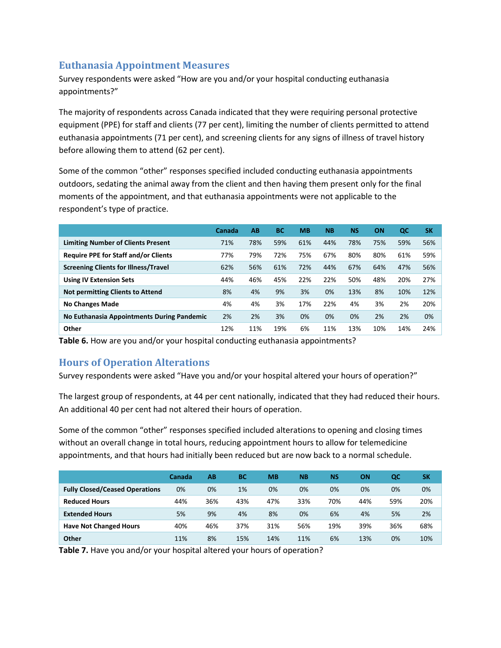#### **Euthanasia Appointment Measures**

Survey respondents were asked "How are you and/or your hospital conducting euthanasia appointments?"

The majority of respondents across Canada indicated that they were requiring personal protective equipment (PPE) for staff and clients (77 per cent), limiting the number of clients permitted to attend euthanasia appointments (71 per cent), and screening clients for any signs of illness of travel history before allowing them to attend (62 per cent).

Some of the common "other" responses specified included conducting euthanasia appointments outdoors, sedating the animal away from the client and then having them present only for the final moments of the appointment, and that euthanasia appointments were not applicable to the respondent's type of practice.

|                                             | Canada | AB  | <b>BC</b> | <b>MB</b> | <b>NB</b> | <b>NS</b> | <b>ON</b> | QC  | <b>SK</b> |
|---------------------------------------------|--------|-----|-----------|-----------|-----------|-----------|-----------|-----|-----------|
| <b>Limiting Number of Clients Present</b>   | 71%    | 78% | 59%       | 61%       | 44%       | 78%       | 75%       | 59% | 56%       |
| <b>Require PPE for Staff and/or Clients</b> | 77%    | 79% | 72%       | 75%       | 67%       | 80%       | 80%       | 61% | 59%       |
| <b>Screening Clients for Illness/Travel</b> | 62%    | 56% | 61%       | 72%       | 44%       | 67%       | 64%       | 47% | 56%       |
| <b>Using IV Extension Sets</b>              | 44%    | 46% | 45%       | 22%       | 22%       | 50%       | 48%       | 20% | 27%       |
| <b>Not permitting Clients to Attend</b>     | 8%     | 4%  | 9%        | 3%        | 0%        | 13%       | 8%        | 10% | 12%       |
| <b>No Changes Made</b>                      | 4%     | 4%  | 3%        | 17%       | 22%       | 4%        | 3%        | 2%  | 20%       |
| No Euthanasia Appointments During Pandemic  | 2%     | 2%  | 3%        | 0%        | 0%        | 0%        | 2%        | 2%  | 0%        |
| Other                                       | 12%    | 11% | 19%       | 6%        | 11%       | 13%       | 10%       | 14% | 24%       |

**Table 6.** How are you and/or your hospital conducting euthanasia appointments?

## **Hours of Operation Alterations**

Survey respondents were asked "Have you and/or your hospital altered your hours of operation?"

The largest group of respondents, at 44 per cent nationally, indicated that they had reduced their hours. An additional 40 per cent had not altered their hours of operation.

Some of the common "other" responses specified included alterations to opening and closing times without an overall change in total hours, reducing appointment hours to allow for telemedicine appointments, and that hours had initially been reduced but are now back to a normal schedule.

|                                       | Canada | AB  | <b>BC</b> | <b>MB</b> | <b>NB</b> | <b>NS</b> | ON  | QC  | SK  |
|---------------------------------------|--------|-----|-----------|-----------|-----------|-----------|-----|-----|-----|
| <b>Fully Closed/Ceased Operations</b> | 0%     | 0%  | 1%        | 0%        | 0%        | 0%        | 0%  | 0%  | 0%  |
| <b>Reduced Hours</b>                  | 44%    | 36% | 43%       | 47%       | 33%       | 70%       | 44% | 59% | 20% |
| <b>Extended Hours</b>                 | 5%     | 9%  | 4%        | 8%        | 0%        | 6%        | 4%  | 5%  | 2%  |
| <b>Have Not Changed Hours</b>         | 40%    | 46% | 37%       | 31%       | 56%       | 19%       | 39% | 36% | 68% |
| Other                                 | 11%    | 8%  | 15%       | 14%       | 11%       | 6%        | 13% | 0%  | 10% |

**Table 7.** Have you and/or your hospital altered your hours of operation?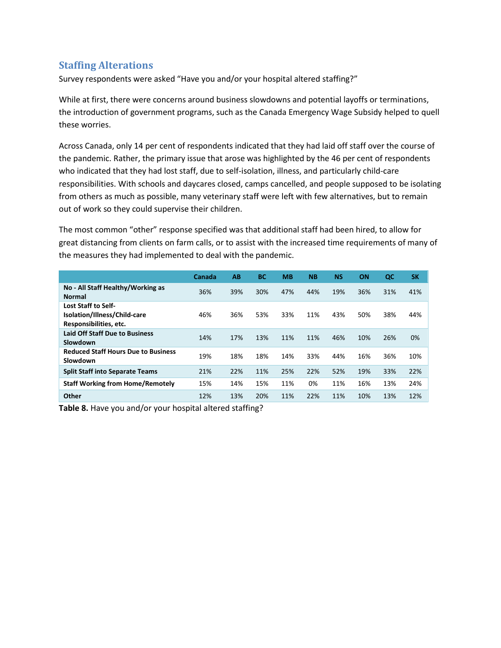#### **Staffing Alterations**

Survey respondents were asked "Have you and/or your hospital altered staffing?"

While at first, there were concerns around business slowdowns and potential layoffs or terminations, the introduction of government programs, such as the Canada Emergency Wage Subsidy helped to quell these worries.

Across Canada, only 14 per cent of respondents indicated that they had laid off staff over the course of the pandemic. Rather, the primary issue that arose was highlighted by the 46 per cent of respondents who indicated that they had lost staff, due to self-isolation, illness, and particularly child-care responsibilities. With schools and daycares closed, camps cancelled, and people supposed to be isolating from others as much as possible, many veterinary staff were left with few alternatives, but to remain out of work so they could supervise their children.

The most common "other" response specified was that additional staff had been hired, to allow for great distancing from clients on farm calls, or to assist with the increased time requirements of many of the measures they had implemented to deal with the pandemic.

|                                                                                      | Canada | AB  | <b>BC</b> | <b>MB</b> | <b>NB</b> | <b>NS</b> | ON  | QC  | <b>SK</b> |
|--------------------------------------------------------------------------------------|--------|-----|-----------|-----------|-----------|-----------|-----|-----|-----------|
| No - All Staff Healthy/Working as<br><b>Normal</b>                                   | 36%    | 39% | 30%       | 47%       | 44%       | 19%       | 36% | 31% | 41%       |
| <b>Lost Staff to Self-</b><br>Isolation/Illness/Child-care<br>Responsibilities, etc. | 46%    | 36% | 53%       | 33%       | 11%       | 43%       | 50% | 38% | 44%       |
| <b>Laid Off Staff Due to Business</b><br>Slowdown                                    | 14%    | 17% | 13%       | 11%       | 11%       | 46%       | 10% | 26% | 0%        |
| <b>Reduced Staff Hours Due to Business</b><br>Slowdown                               | 19%    | 18% | 18%       | 14%       | 33%       | 44%       | 16% | 36% | 10%       |
| <b>Split Staff into Separate Teams</b>                                               | 21%    | 22% | 11%       | 25%       | 22%       | 52%       | 19% | 33% | 22%       |
| <b>Staff Working from Home/Remotely</b>                                              | 15%    | 14% | 15%       | 11%       | 0%        | 11%       | 16% | 13% | 24%       |
| Other                                                                                | 12%    | 13% | 20%       | 11%       | 22%       | 11%       | 10% | 13% | 12%       |

**Table 8.** Have you and/or your hospital altered staffing?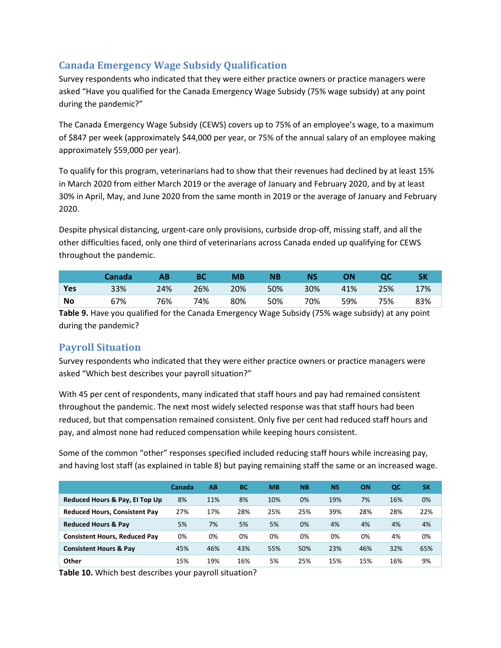## **Canada Emergency Wage Subsidy Qualification**

Survey respondents who indicated that they were either practice owners or practice managers were asked "Have you qualified for the Canada Emergency Wage Subsidy (75% wage subsidy) at any point during the pandemic?"

The Canada Emergency Wage Subsidy (CEWS) covers up to 75% of an employee's wage, to a maximum of \$847 per week (approximately \$44,000 per year, or 75% of the annual salary of an employee making approximately \$59,000 per year).

To qualify for this program, veterinarians had to show that their revenues had declined by at least 15% in March 2020 from either March 2019 or the average of January and February 2020, and by at least 30% in April, May, and June 2020 from the same month in 2019 or the average of January and February 2020.

Despite physical distancing, urgent-care only provisions, curbside drop-off, missing staff, and all the other difficulties faced, only one third of veterinarians across Canada ended up qualifying for CEWS throughout the pandemic.

|           | Canada |     |     | МB  | <b>NB</b> | NS  | ΟN  |     | SΚ  |
|-----------|--------|-----|-----|-----|-----------|-----|-----|-----|-----|
| Yes       | 33%    | 24% | 26% | 20% | 50%       | 30% | 41% | 25% | 17% |
| <b>No</b> | 67%    | 76% | 74% | 80% | 50%       | 70% | 59% | 75% | 83% |

**Table 9.** Have you qualified for the Canada Emergency Wage Subsidy (75% wage subsidy) at any point during the pandemic?

# **Payroll Situation**

Survey respondents who indicated that they were either practice owners or practice managers were asked "Which best describes your payroll situation?"

With 45 per cent of respondents, many indicated that staff hours and pay had remained consistent throughout the pandemic. The next most widely selected response was that staff hours had been reduced, but that compensation remained consistent. Only five per cent had reduced staff hours and pay, and almost none had reduced compensation while keeping hours consistent.

Some of the common "other" responses specified included reducing staff hours while increasing pay, and having lost staff (as explained in table 8) but paying remaining staff the same or an increased wage.

|                                      | <b>Canada</b> | АB  | <b>BC</b> | <b>MB</b> | <b>NB</b> | <b>NS</b> | ON  | QC  | <b>SK</b> |
|--------------------------------------|---------------|-----|-----------|-----------|-----------|-----------|-----|-----|-----------|
| Reduced Hours & Pay, El Top Up       | 8%            | 11% | 8%        | 10%       | 0%        | 19%       | 7%  | 16% | 0%        |
| <b>Reduced Hours, Consistent Pay</b> | 27%           | 17% | 28%       | 25%       | 25%       | 39%       | 28% | 28% | 22%       |
| <b>Reduced Hours &amp; Pay</b>       | 5%            | 7%  | 5%        | 5%        | 0%        | 4%        | 4%  | 4%  | 4%        |
| <b>Consistent Hours, Reduced Pay</b> | 0%            | 0%  | 0%        | 0%        | 0%        | 0%        | 0%  | 4%  | 0%        |
| <b>Consistent Hours &amp; Pay</b>    | 45%           | 46% | 43%       | 55%       | 50%       | 23%       | 46% | 32% | 65%       |
| Other                                | 15%           | 19% | 16%       | 5%        | 25%       | 15%       | 15% | 16% | 9%        |

**Table 10.** Which best describes your payroll situation?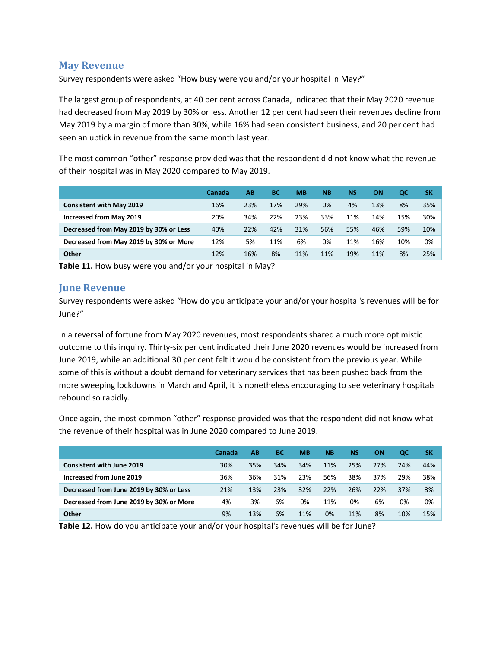#### **May Revenue**

Survey respondents were asked "How busy were you and/or your hospital in May?"

The largest group of respondents, at 40 per cent across Canada, indicated that their May 2020 revenue had decreased from May 2019 by 30% or less. Another 12 per cent had seen their revenues decline from May 2019 by a margin of more than 30%, while 16% had seen consistent business, and 20 per cent had seen an uptick in revenue from the same month last year.

The most common "other" response provided was that the respondent did not know what the revenue of their hospital was in May 2020 compared to May 2019.

|                                        | Canada | AB. | <b>BC</b> | <b>MB</b> | <b>NB</b> | <b>NS</b> | ΟN  | QC  | SΚ  |
|----------------------------------------|--------|-----|-----------|-----------|-----------|-----------|-----|-----|-----|
| <b>Consistent with May 2019</b>        | 16%    | 23% | 17%       | 29%       | 0%        | 4%        | 13% | 8%  | 35% |
| <b>Increased from May 2019</b>         | 20%    | 34% | 22%       | 23%       | 33%       | 11%       | 14% | 15% | 30% |
| Decreased from May 2019 by 30% or Less | 40%    | 22% | 42%       | 31%       | 56%       | 55%       | 46% | 59% | 10% |
| Decreased from May 2019 by 30% or More | 12%    | 5%  | 11%       | 6%        | 0%        | 11%       | 16% | 10% | 0%  |
| Other                                  | 12%    | 16% | 8%        | 11%       | 11%       | 19%       | 11% | 8%  | 25% |

**Table 11.** How busy were you and/or your hospital in May?

#### **June Revenue**

Survey respondents were asked "How do you anticipate your and/or your hospital's revenues will be for June?"

In a reversal of fortune from May 2020 revenues, most respondents shared a much more optimistic outcome to this inquiry. Thirty-six per cent indicated their June 2020 revenues would be increased from June 2019, while an additional 30 per cent felt it would be consistent from the previous year. While some of this is without a doubt demand for veterinary services that has been pushed back from the more sweeping lockdowns in March and April, it is nonetheless encouraging to see veterinary hospitals rebound so rapidly.

Once again, the most common "other" response provided was that the respondent did not know what the revenue of their hospital was in June 2020 compared to June 2019.

|                                         | Canada | AВ  | ВC  | <b>MB</b> | <b>NB</b> | <b>NS</b> | ON  | <b>QC</b> | <b>SK</b> |
|-----------------------------------------|--------|-----|-----|-----------|-----------|-----------|-----|-----------|-----------|
| <b>Consistent with June 2019</b>        | 30%    | 35% | 34% | 34%       | 11%       | 25%       | 27% | 24%       | 44%       |
| Increased from June 2019                | 36%    | 36% | 31% | 23%       | 56%       | 38%       | 37% | 29%       | 38%       |
| Decreased from June 2019 by 30% or Less | 21%    | 13% | 23% | 32%       | 22%       | 26%       | 22% | 37%       | 3%        |
| Decreased from June 2019 by 30% or More | 4%     | 3%  | 6%  | 0%        | 11%       | 0%        | 6%  | 0%        | 0%        |
| Other                                   | 9%     | 13% | 6%  | 11%       | 0%        | 11%       | 8%  | 10%       | 15%       |

**Table 12.** How do you anticipate your and/or your hospital's revenues will be for June?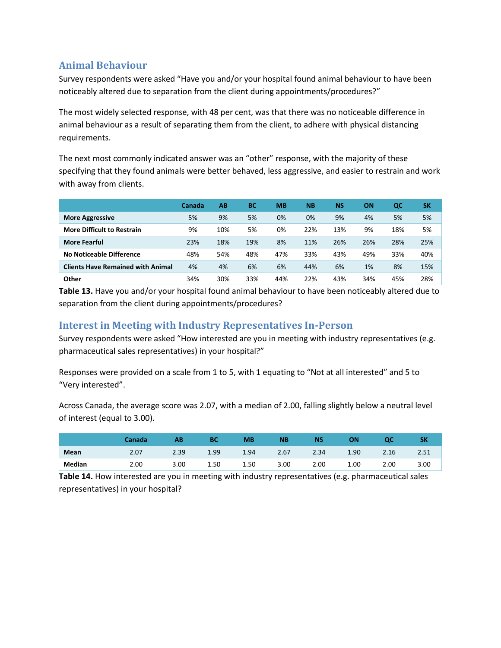## **Animal Behaviour**

Survey respondents were asked "Have you and/or your hospital found animal behaviour to have been noticeably altered due to separation from the client during appointments/procedures?"

The most widely selected response, with 48 per cent, was that there was no noticeable difference in animal behaviour as a result of separating them from the client, to adhere with physical distancing requirements.

The next most commonly indicated answer was an "other" response, with the majority of these specifying that they found animals were better behaved, less aggressive, and easier to restrain and work with away from clients.

|                                          | Canada | AB  | <b>BC</b> | <b>MB</b> | <b>NB</b> | <b>NS</b> | ΟN  | QC  | <b>SK</b> |
|------------------------------------------|--------|-----|-----------|-----------|-----------|-----------|-----|-----|-----------|
| <b>More Aggressive</b>                   | 5%     | 9%  | 5%        | 0%        | 0%        | 9%        | 4%  | 5%  | 5%        |
| <b>More Difficult to Restrain</b>        | 9%     | 10% | 5%        | 0%        | 22%       | 13%       | 9%  | 18% | 5%        |
| <b>More Fearful</b>                      | 23%    | 18% | 19%       | 8%        | 11%       | 26%       | 26% | 28% | 25%       |
| No Noticeable Difference                 | 48%    | 54% | 48%       | 47%       | 33%       | 43%       | 49% | 33% | 40%       |
| <b>Clients Have Remained with Animal</b> | 4%     | 4%  | 6%        | 6%        | 44%       | 6%        | 1%  | 8%  | 15%       |
| Other                                    | 34%    | 30% | 33%       | 44%       | 22%       | 43%       | 34% | 45% | 28%       |

**Table 13.** Have you and/or your hospital found animal behaviour to have been noticeably altered due to separation from the client during appointments/procedures?

## **Interest in Meeting with Industry Representatives In-Person**

Survey respondents were asked "How interested are you in meeting with industry representatives (e.g. pharmaceutical sales representatives) in your hospital?"

Responses were provided on a scale from 1 to 5, with 1 equating to "Not at all interested" and 5 to "Very interested".

Across Canada, the average score was 2.07, with a median of 2.00, falling slightly below a neutral level of interest (equal to 3.00).

|        | Canada | AB   | ВC   | <b>MB</b> | <b>NB</b> | <b>NS</b> | ОN   | oc   |      |
|--------|--------|------|------|-----------|-----------|-----------|------|------|------|
| Mean   | 2.07   | 2.39 | 1.99 | 1.94      | 2.67      | 2.34      | 1.90 | 2.16 | 2.51 |
| Median | 2.00   | 3.00 | 1.50 | 1.50      | 3.00      | 2.00      | 1.00 | 2.00 | 3.00 |

**Table 14.** How interested are you in meeting with industry representatives (e.g. pharmaceutical sales representatives) in your hospital?